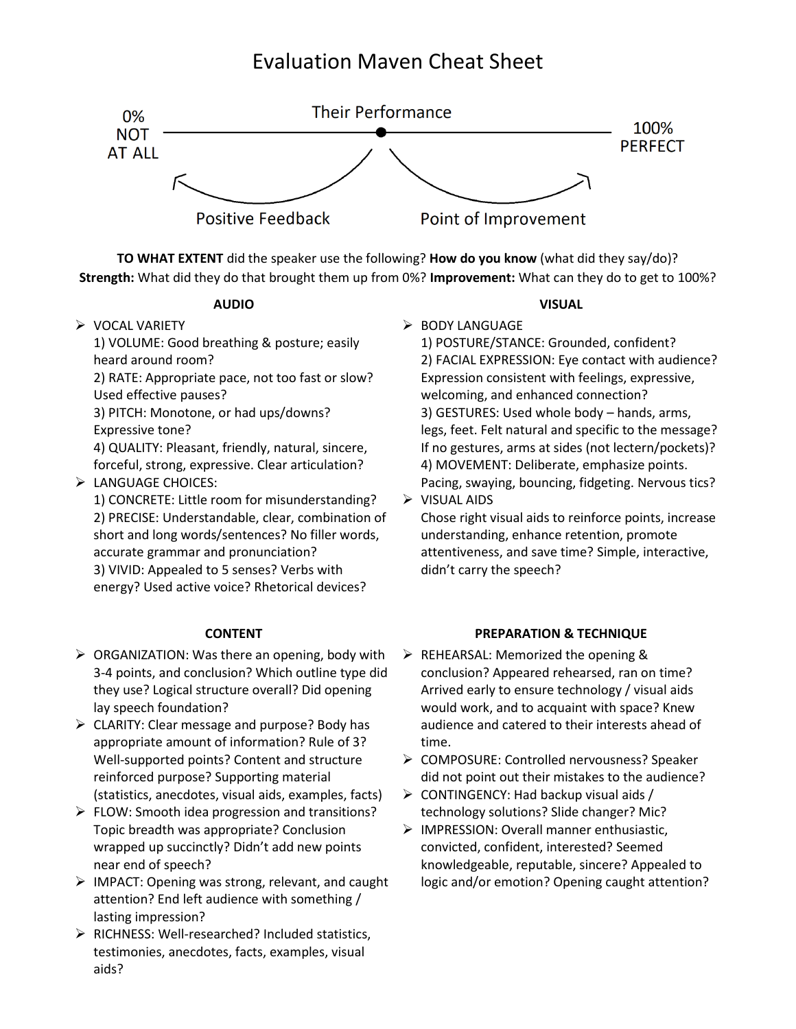## Evaluation Maven Cheat Sheet



**TO WHAT EXTENT** did the speaker use the following? **How do you know** (what did they say/do)? **Strength:** What did they do that brought them up from 0%? **Improvement:** What can they do to get to 100%?

### **AUDIO**

➢ VOCAL VARIETY

1) VOLUME: Good breathing & posture; easily heard around room?

2) RATE: Appropriate pace, not too fast or slow? Used effective pauses?

3) PITCH: Monotone, or had ups/downs? Expressive tone?

4) QUALITY: Pleasant, friendly, natural, sincere, forceful, strong, expressive. Clear articulation?

## ➢ LANGUAGE CHOICES:

1) CONCRETE: Little room for misunderstanding? 2) PRECISE: Understandable, clear, combination of short and long words/sentences? No filler words, accurate grammar and pronunciation? 3) VIVID: Appealed to 5 senses? Verbs with energy? Used active voice? Rhetorical devices?

### **CONTENT**

- $\triangleright$  ORGANIZATION: Was there an opening, body with 3-4 points, and conclusion? Which outline type did they use? Logical structure overall? Did opening lay speech foundation?
- ➢ CLARITY: Clear message and purpose? Body has appropriate amount of information? Rule of 3? Well-supported points? Content and structure reinforced purpose? Supporting material (statistics, anecdotes, visual aids, examples, facts)
- $\triangleright$  FLOW: Smooth idea progression and transitions? Topic breadth was appropriate? Conclusion wrapped up succinctly? Didn't add new points near end of speech?
- ➢ IMPACT: Opening was strong, relevant, and caught attention? End left audience with something / lasting impression?
- ➢ RICHNESS: Well-researched? Included statistics, testimonies, anecdotes, facts, examples, visual aids?

### **VISUAL**

➢ BODY LANGUAGE 1) POSTURE/STANCE: Grounded, confident? 2) FACIAL EXPRESSION: Eye contact with audience? Expression consistent with feelings, expressive, welcoming, and enhanced connection? 3) GESTURES: Used whole body – hands, arms, legs, feet. Felt natural and specific to the message? If no gestures, arms at sides (not lectern/pockets)? 4) MOVEMENT: Deliberate, emphasize points. Pacing, swaying, bouncing, fidgeting. Nervous tics?

➢ VISUAL AIDS

Chose right visual aids to reinforce points, increase understanding, enhance retention, promote attentiveness, and save time? Simple, interactive, didn't carry the speech?

### **PREPARATION & TECHNIQUE**

- ➢ REHEARSAL: Memorized the opening & conclusion? Appeared rehearsed, ran on time? Arrived early to ensure technology / visual aids would work, and to acquaint with space? Knew audience and catered to their interests ahead of time.
- ➢ COMPOSURE: Controlled nervousness? Speaker did not point out their mistakes to the audience?
- $\triangleright$  CONTINGENCY: Had backup visual aids / technology solutions? Slide changer? Mic?
- ➢ IMPRESSION: Overall manner enthusiastic, convicted, confident, interested? Seemed knowledgeable, reputable, sincere? Appealed to logic and/or emotion? Opening caught attention?